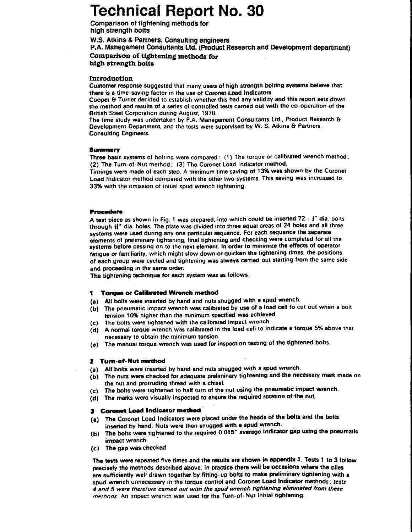# Technical Report No. 30

Comparison of tightening methods for high strength bolts

W.S. Atkins & Partners, Consulting engineers P.A. Management Consultants Ltd. (Product Research and Development department) Comparison of tightening methods for high strength bolts

## Introductlon

Customer response suggested that many users of high strength bolting systems believe that there is a time-saving factor in the use of Coronet Load Indicators.

Cooper & Turner decided to establish whether this had any validity and this report sets down the method and results of a series of controlled tests carried out with the co-operation of the British Steel Corporation during August, 1970.

The time study was undertaken by P.A. Management Consultants Ltd., Product Research & Development Department, and the tests were supervised by W. S. Atkins & Partners, Consulting Engineers.

## **Summary**

Three basic systems of bolting were compared: (1) The torque or calibrated wrench method; (2) The Turn-of-Nut method; (3) The Coronet Load Indicator method.

Timings were made of each step. A minimum time saving of 13% was shown by the Coronet Load Indicator method compared with the other two systems. This saving was increased to 3396 with the omission of initial spud wrench tightening.

## Procedure

A test piece as shown in Fig. 1 was prepared, into which could be inserted  $72 - \frac{1}{3}$ " dia. bolts through  $H''$  dia. holes. The plate was divided into three equal areas of 24 holes and all three systems were used during any one particular sequence. For each sequence the separate elements of preliminary tightening, final tightening and checking were completed for all the systems before passing on to the next element. In order to minimize the effects of operator fetigue or familiarity, which might slow down or quicken the tightening times, the positions of each group were cycled and tightening was always carried out starting from the same side and proceeding in the same order.

The tightening technique for each system was as follows:

# 1 Torque or Calibrated Wrench metho

- (a) All bolts were inserted by hand and nuts snugged with a spud wrench.
- $(b)$  The pneumatic impact wrench was calibrated by use of a load cell to cut out when a bolt tension 10% higher than the minimum specified was achieved.
- The bolts were tightened with the calibrared impact wrench.  $(c)$
- $(d)$  A normal torque wrench was calibrated in the load cell to indicate a torque 5% above that necessary to obtain the minimum tension.
- (e) The manual torque wrench was used for inspection testing of the tightened bolts.

#### 2 Turn-of-Nut method

- (a) All bolts were inserted by hand and nuts snugged with a spud wrench.
- (b) The nuts were checked for adequate preliminary tightening and the necessary mark made on the nut and protruding thread with a chisel.
- (c) The bolts were tightened to half turn of the nut using the pneumatic impact wrench.
- (d) The marks were visually inspected to ensure the required rotation of the nut.

# **3** Corenet Load Indicator method

- (a) The Coronet Load Indicators were placed under the heads of the bolts and the bolts inserted by hand. Nuts were then snugged with a spud wrench.
- (b) The bolts were tightened to the required 0.015" average Indicator gap using the pneumatic impact wrench.
- (c) The gap was checked.

The tests were repeated five times and the results are shown in appendix 1. Tests 1 to 3 follow precisely the methods described above. In practice there will be occasions where the plies are sufficiently well drawn together by fitting-up bolts to make preliminary tightening with a spud wrench unnecessary in the torque control and Coronet Load Indicator methods; tests 4 and 5 were therefore carried out with the spud wrench tightening eliminated from these methods. An impact wrench was used for the Turn-of-Nut initial tightening.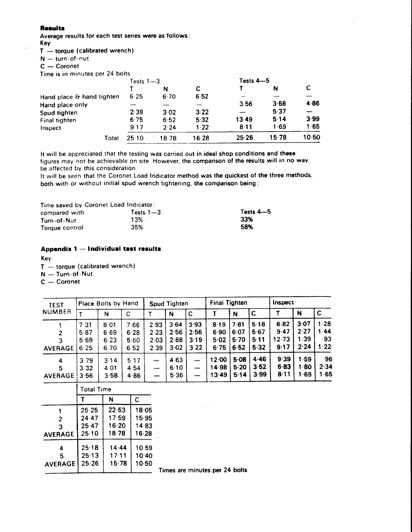#### Results

Average results for each test series were as follows:

Key

 $T - torque$  (calibrated wrench)

 $N$  - turn-of-nut

 $C -$  Coronet

Time is in minutes per 24 bolts

|                           | Tests $1 - 3$ |       |       | Tests $4 - 5$            |       |         |
|---------------------------|---------------|-------|-------|--------------------------|-------|---------|
|                           |               | N     | C     |                          | N     | С       |
| Hand place & hand tighten | 6.25          | 6.70  | 6.52  | $\overline{\phantom{a}}$ |       |         |
| Hand place only           |               |       |       | 3.56                     | 3.58  | 4.86    |
| Spud tighten              | 2.39          | 3.02  | 3.22  |                          | 5.37  |         |
| Final tighten             | 6.75          | 6.52  | 5.32  | 13.49                    | 5.14  | 3.99    |
| Inspect                   | 9.17          | 2.24  | 1.22  | 8.11                     | 1.69  | 1.65    |
| Total                     | 25 10         | 18.78 | 16.28 | 25.26                    | 15.78 | $10-50$ |

It will be appreciated that the testing was carried out in ideal shop conditions and these figures may not be achievable on site. However, the comparison of the results will in no way be affected by this consideration.

It will be seen that the Coronet Load Indicator method was the quickest of the three methods, both with or without initial spud wrench tightening, the comparison being:

| Time saved by Coronet Load Indicator: |           |             |
|---------------------------------------|-----------|-------------|
| compared with                         | Tests 1—3 | Tests $4-5$ |
| Turn-of-Nut                           | 13%       | 33%         |
| Torque control                        | 35%       | 58%         |

# Appendix 1 - Individual test results

Key

- $T$  torque (calibrated wrench)
- N Turn-of-Nut

 $C -$ Coronet

| <b>TEST</b>              |                              | <b>Place Bolts by Hand</b>   |                               |                              | Spud Tighten                 |                              | <b>Final Tighten</b>         |                              |                              | Inspect                       |                              |                             |  |
|--------------------------|------------------------------|------------------------------|-------------------------------|------------------------------|------------------------------|------------------------------|------------------------------|------------------------------|------------------------------|-------------------------------|------------------------------|-----------------------------|--|
| <b>NUMBER</b>            |                              | N                            | C                             |                              | N                            | $\mathbf c$                  |                              | N                            | $\mathbf c$                  |                               | N                            |                             |  |
| 3<br><b>AVERAGE</b>      | 7.31<br>5.87<br>5.69<br>6.25 | 8.01<br>6.69<br>6.23<br>6.70 | 7.66<br>6.28<br>5.60<br>6 5 2 | 2.93<br>2.23<br>2.03<br>2.39 | 3.64<br>2.56<br>2.88<br>3.02 | 3.93<br>2.56<br>3.19<br>3.22 | 8.19<br>6.90<br>5.02<br>6.75 | 7.81<br>6.07<br>5.70<br>6.52 | 5.18<br>5.67<br>5.11<br>5.32 | 6.82<br>9.47<br>12.73<br>9.17 | 3.07<br>2.27<br>1.39<br>2.24 | 1.28<br>1.44<br>-93<br>1.22 |  |
| 4<br>5<br><b>AVERAGE</b> | 3.79<br>3.32<br>3.56         | 3.14<br>4.01<br>3.58         | 5.17<br>4.54<br>4.86          | ----<br>----                 | 4.63<br>6.10<br>5.36         | --<br>موجسد                  | 12.00<br>14.98<br>13.49      | 5.08<br>5.20<br>5.14         | 4.46<br>3.52<br>3.99         | 9.39<br>6.83<br>8.11          | 1.59<br>1.80<br>∣ 69         | $-96$<br>2.34<br>1.65       |  |

|                | <b>Total Time</b> |       |       |  |  |
|----------------|-------------------|-------|-------|--|--|
|                | N                 |       | C     |  |  |
|                | 25.25             | 22.53 | 18.05 |  |  |
| $\overline{2}$ | 24 47             | 17.59 | 15.95 |  |  |
| 3              | 25.47             | 16.20 | 1483  |  |  |
| <b>AVERAGE</b> | 25:10             | 18.78 | 16.28 |  |  |
| 4              | 25.18             | 14.44 | 1059  |  |  |
| 5              | 25.13             | 17.11 | 10.40 |  |  |
| <b>AVERAGE</b> | 25.26             | 15.78 | 10.50 |  |  |
|                |                   |       |       |  |  |

limes are minutes per 24 bolts

 $\sqrt{1-\lambda}$